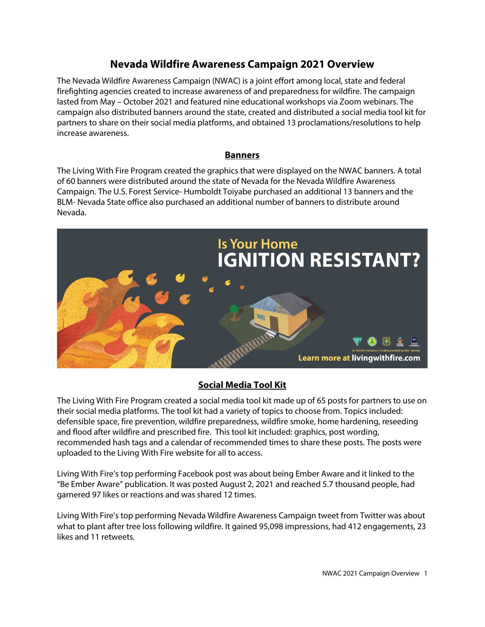# **Nevada Wildfire Awareness Campaign 2021 Overview**

The Nevada Wildfire Awareness Campaign (NWAC) is a joint effort among local, state and federal firefighting agencies created to increase awareness of and preparedness for wildfire. The campaign lasted from May – October 2021 and featured nine educational workshops via Zoom webinars. The campaign also distributed banners around the state, created and distributed a social media tool kit for partners to share on their social media platforms, and obtained 13 proclamations/resolutions to help increase awareness.

### **Banners**

The Living With Fire Program created the graphics that were displayed on the NWAC banners. A total of 60 banners were distributed around the state of Nevada for the Nevada Wildfire Awareness Campaign. The U.S. Forest Service- Humboldt Toiyabe purchased an additional 13 banners and the BLM- Nevada State office also purchased an additional number of banners to distribute around Nevada.



# **Social Media Tool Kit**

The Living With Fire Program created a social media tool kit made up of 65 posts for partners to use on their social media platforms. The tool kit had a variety of topics to choose from. Topics included: defensible space, fire prevention, wildfire preparedness, wildfire smoke, home hardening, reseeding and flood after wildfire and prescribed fire. This tool kit included: graphics, post wording, recommended hash tags and a calendar of recommended times to share these posts. The posts were uploaded to the Living With Fire website for all to access.

Living With Fire's top performing Facebook post was about being Ember Aware and it linked to the "Be Ember Aware" publication. It was posted August 2, 2021 and reached 5.7 thousand people, had garnered 97 likes or reactions and was shared 12 times.

Living With Fire's top performing Nevada Wildfire Awareness Campaign tweet from Twitter was about what to plant after tree loss following wildfire. It gained 95,098 impressions, had 412 engagements, 23 likes and 11 retweets.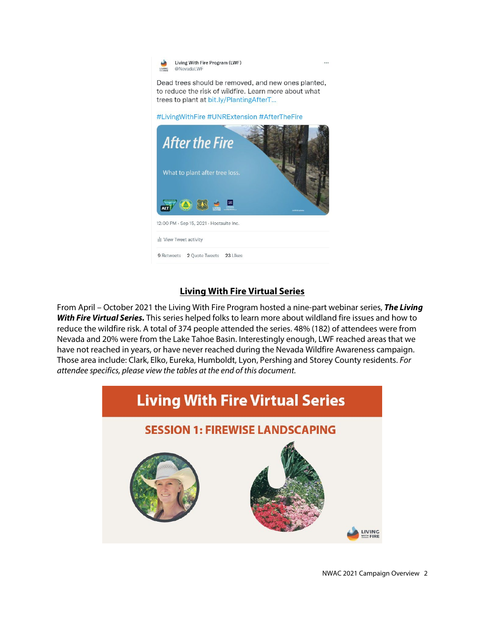Living With Fire Program (LWF) LIVING @Nevadal WF

Dead trees should be removed, and new ones planted, to reduce the risk of wildfire. Learn more about what trees to plant at bit.ly/PlantingAfterT...

#LivingWithFire #UNRExtension #AfterTheFire



### **Living With Fire Virtual Series**

From April – October 2021 the Living With Fire Program hosted a nine-part webinar series, *The Living With Fire Virtual Series.* This series helped folks to learn more about wildland fire issues and how to reduce the wildfire risk. A total of 374 people attended the series. 48% (182) of attendees were from Nevada and 20% were from the Lake Tahoe Basin. Interestingly enough, LWF reached areas that we have not reached in years, or have never reached during the Nevada Wildfire Awareness campaign. Those area include: Clark, Elko, Eureka, Humboldt, Lyon, Pershing and Storey County residents. *For attendee specifics, please view the tables at the end of this document.* 

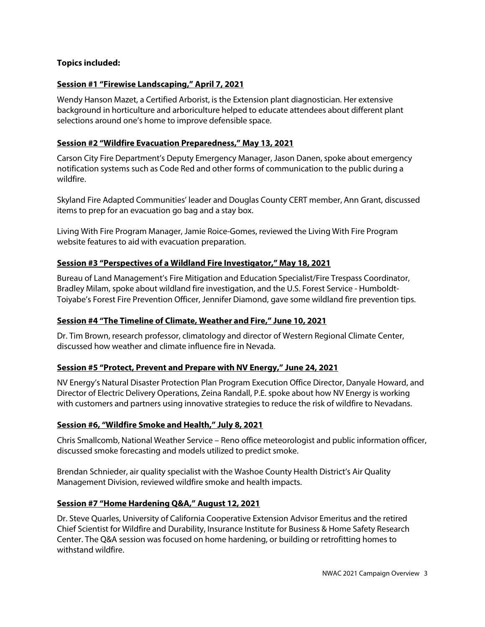### **Topics included:**

### **Session #1 "Firewise Landscaping," April 7, 2021**

Wendy Hanson Mazet, a Certified Arborist, is the Extension plant diagnostician. Her extensive background in horticulture and arboriculture helped to educate attendees about different plant selections around one's home to improve defensible space.

### **Session #2 "Wildfire Evacuation Preparedness," May 13, 2021**

Carson City Fire Department's Deputy Emergency Manager, Jason Danen, spoke about emergency notification systems such as Code Red and other forms of communication to the public during a wildfire.

Skyland Fire Adapted Communities' leader and Douglas County CERT member, Ann Grant, discussed items to prep for an evacuation go bag and a stay box.

Living With Fire Program Manager, Jamie Roice-Gomes, reviewed the Living With Fire Program website features to aid with evacuation preparation.

### **Session #3 "Perspectives of a Wildland Fire Investigator," May 18, 2021**

Bureau of Land Management's Fire Mitigation and Education Specialist/Fire Trespass Coordinator, Bradley Milam, spoke about wildland fire investigation, and the U.S. Forest Service - Humboldt-Toiyabe's Forest Fire Prevention Officer, Jennifer Diamond, gave some wildland fire prevention tips.

#### **Session #4 "The Timeline of Climate, Weather and Fire," June 10, 2021**

Dr. Tim Brown, research professor, climatology and director of Western Regional Climate Center, discussed how weather and climate influence fire in Nevada.

### **Session #5 "Protect, Prevent and Prepare with NV Energy," June 24, 2021**

NV Energy's Natural Disaster Protection Plan Program Execution Office Director, Danyale Howard, and Director of Electric Delivery Operations, Zeina Randall, P.E. spoke about how NV Energy is working with customers and partners using innovative strategies to reduce the risk of wildfire to Nevadans.

#### **Session #6, "Wildfire Smoke and Health," July 8, 2021**

Chris Smallcomb, National Weather Service – Reno office meteorologist and public information officer, discussed smoke forecasting and models utilized to predict smoke.

Brendan Schnieder, air quality specialist with the Washoe County Health District's Air Quality Management Division, reviewed wildfire smoke and health impacts.

#### **Session #7 "Home Hardening Q&A," August 12, 2021**

Dr. Steve Quarles, University of California Cooperative Extension Advisor Emeritus and the retired Chief Scientist for Wildfire and Durability, Insurance Institute for Business & Home Safety Research Center. The Q&A session was focused on home hardening, or building or retrofitting homes to withstand wildfire.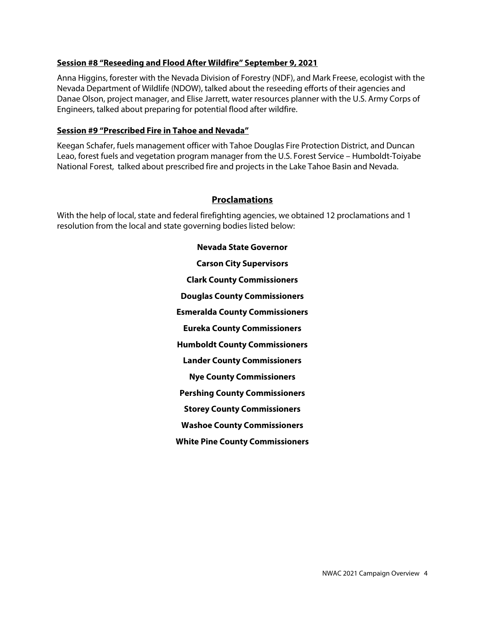### **Session #8 "Reseeding and Flood After Wildfire" September 9, 2021**

Anna Higgins, forester with the Nevada Division of Forestry (NDF), and Mark Freese, ecologist with the Nevada Department of Wildlife (NDOW), talked about the reseeding efforts of their agencies and Danae Olson, project manager, and Elise Jarrett, water resources planner with the U.S. Army Corps of Engineers, talked about preparing for potential flood after wildfire.

### **Session #9 "Prescribed Fire in Tahoe and Nevada"**

Keegan Schafer, fuels management officer with Tahoe Douglas Fire Protection District, and Duncan Leao, forest fuels and vegetation program manager from the U.S. Forest Service – Humboldt-Toiyabe National Forest, talked about prescribed fire and projects in the Lake Tahoe Basin and Nevada.

### **Proclamations**

With the help of local, state and federal firefighting agencies, we obtained 12 proclamations and 1 resolution from the local and state governing bodies listed below:

> **Nevada State Governor Carson City Supervisors Clark County Commissioners Douglas County Commissioners Esmeralda County Commissioners Eureka County Commissioners Humboldt County Commissioners Lander County Commissioners Nye County Commissioners Pershing County Commissioners Storey County Commissioners Washoe County Commissioners White Pine County Commissioners**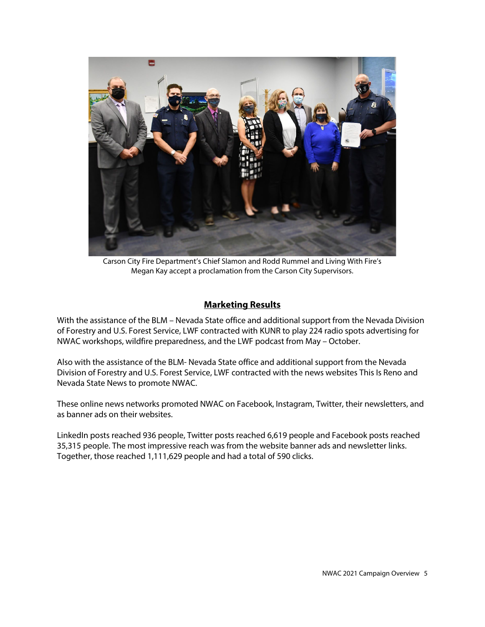

Carson City Fire Department's Chief Slamon and Rodd Rummel and Living With Fire's Megan Kay accept a proclamation from the Carson City Supervisors.

### **Marketing Results**

With the assistance of the BLM – Nevada State office and additional support from the Nevada Division of Forestry and U.S. Forest Service, LWF contracted with KUNR to play 224 radio spots advertising for NWAC workshops, wildfire preparedness, and the LWF podcast from May – October.

Also with the assistance of the BLM- Nevada State office and additional support from the Nevada Division of Forestry and U.S. Forest Service, LWF contracted with the news websites This Is Reno and Nevada State News to promote NWAC.

These online news networks promoted NWAC on Facebook, Instagram, Twitter, their newsletters, and as banner ads on their websites.

LinkedIn posts reached 936 people, Twitter posts reached 6,619 people and Facebook posts reached 35,315 people. The most impressive reach was from the website banner ads and newsletter links. Together, those reached 1,111,629 people and had a total of 590 clicks.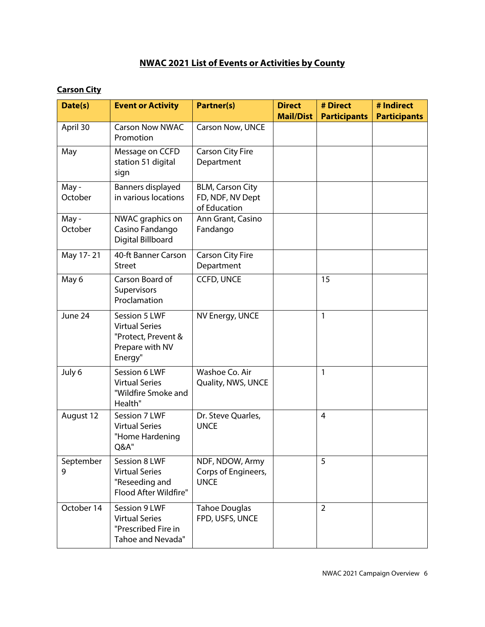# **NWAC 2021 List of Events or Activities by County**

# **Carson City**

| Date(s)                  | <b>Event or Activity</b>                                                                    | Partner(s)                                                  | <b>Direct</b>    | # Direct            | # Indirect          |
|--------------------------|---------------------------------------------------------------------------------------------|-------------------------------------------------------------|------------------|---------------------|---------------------|
|                          |                                                                                             |                                                             | <b>Mail/Dist</b> | <b>Participants</b> | <b>Participants</b> |
| April 30                 | <b>Carson Now NWAC</b><br>Promotion                                                         | Carson Now, UNCE                                            |                  |                     |                     |
| May                      | Message on CCFD<br>station 51 digital<br>sign                                               | <b>Carson City Fire</b><br>Department                       |                  |                     |                     |
| May -<br>October         | Banners displayed<br>in various locations                                                   | <b>BLM, Carson City</b><br>FD, NDF, NV Dept<br>of Education |                  |                     |                     |
| May -<br>October         | NWAC graphics on<br>Casino Fandango<br>Digital Billboard                                    | Ann Grant, Casino<br>Fandango                               |                  |                     |                     |
| May 17-21                | 40-ft Banner Carson<br><b>Street</b>                                                        | Carson City Fire<br>Department                              |                  |                     |                     |
| May 6                    | Carson Board of<br>Supervisors<br>Proclamation                                              | <b>CCFD, UNCE</b>                                           |                  | 15                  |                     |
| June 24                  | Session 5 LWF<br><b>Virtual Series</b><br>"Protect, Prevent &<br>Prepare with NV<br>Energy" | NV Energy, UNCE                                             |                  | $\mathbf{1}$        |                     |
| July 6                   | Session 6 LWF<br><b>Virtual Series</b><br>"Wildfire Smoke and<br>Health"                    | Washoe Co. Air<br>Quality, NWS, UNCE                        |                  | 1                   |                     |
| August 12                | Session 7 LWF<br><b>Virtual Series</b><br>"Home Hardening<br><b>Q&amp;A"</b>                | Dr. Steve Quarles,<br><b>UNCE</b>                           |                  | 4                   |                     |
| September<br>$\mathbf Q$ | Session 8 LWF<br><b>Virtual Series</b><br>"Reseeding and<br>Flood After Wildfire"           | NDF, NDOW, Army<br>Corps of Engineers,<br><b>UNCE</b>       |                  | 5                   |                     |
| October 14               | Session 9 LWF<br><b>Virtual Series</b><br>"Prescribed Fire in<br>Tahoe and Nevada"          | <b>Tahoe Douglas</b><br>FPD, USFS, UNCE                     |                  | 2                   |                     |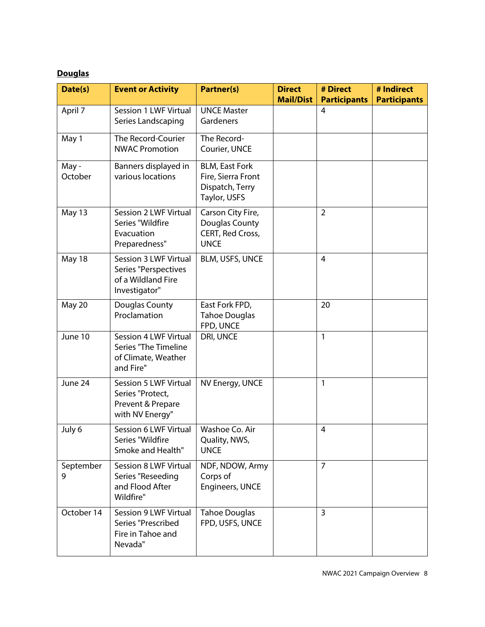# **Douglas**

| Date(s)          | <b>Event or Activity</b>                                                             | <b>Partner(s)</b>                                                              | <b>Direct</b><br><b>Mail/Dist</b> | # Direct<br><b>Participants</b> | # Indirect<br><b>Participants</b> |
|------------------|--------------------------------------------------------------------------------------|--------------------------------------------------------------------------------|-----------------------------------|---------------------------------|-----------------------------------|
| April 7          | Session 1 LWF Virtual<br>Series Landscaping                                          | <b>UNCE Master</b><br>Gardeners                                                |                                   | 4                               |                                   |
| May 1            | The Record-Courier<br><b>NWAC Promotion</b>                                          | The Record-<br>Courier, UNCE                                                   |                                   |                                 |                                   |
| May -<br>October | Banners displayed in<br>various locations                                            | <b>BLM, East Fork</b><br>Fire, Sierra Front<br>Dispatch, Terry<br>Taylor, USFS |                                   |                                 |                                   |
| May 13           | Session 2 LWF Virtual<br>Series "Wildfire<br>Evacuation<br>Preparedness"             | Carson City Fire,<br>Douglas County<br>CERT, Red Cross,<br><b>UNCE</b>         |                                   | 2                               |                                   |
| May 18           | Session 3 LWF Virtual<br>Series "Perspectives<br>of a Wildland Fire<br>Investigator" | BLM, USFS, UNCE                                                                |                                   | $\overline{4}$                  |                                   |
| May 20           | Douglas County<br>Proclamation                                                       | East Fork FPD,<br><b>Tahoe Douglas</b><br>FPD, UNCE                            |                                   | 20                              |                                   |
| June 10          | Session 4 LWF Virtual<br>Series "The Timeline<br>of Climate, Weather<br>and Fire"    | DRI, UNCE                                                                      |                                   | $\mathbf{1}$                    |                                   |
| June 24          | Session 5 LWF Virtual<br>Series "Protect,<br>Prevent & Prepare<br>with NV Energy"    | NV Energy, UNCE                                                                |                                   | 1                               |                                   |
| July 6           | Session 6 LWF Virtual<br>Series "Wildfire<br>Smoke and Health"                       | Washoe Co. Air<br>Quality, NWS,<br><b>UNCE</b>                                 |                                   | $\overline{4}$                  |                                   |
| September<br>9   | Session 8 LWF Virtual<br>Series "Reseeding<br>and Flood After<br>Wildfire"           | NDF, NDOW, Army<br>Corps of<br>Engineers, UNCE                                 |                                   | $\overline{7}$                  |                                   |
| October 14       | Session 9 LWF Virtual<br>Series "Prescribed<br>Fire in Tahoe and<br>Nevada"          | <b>Tahoe Douglas</b><br>FPD, USFS, UNCE                                        |                                   | 3                               |                                   |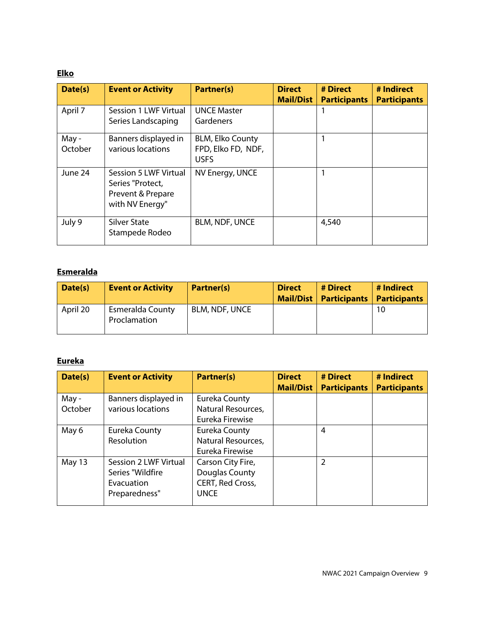### **Elko**

| Date(s)          | <b>Event or Activity</b>                                                          | <b>Partner(s)</b>                                            | <b>Direct</b><br><b>Mail/Dist</b> | # Direct<br><b>Participants</b> | # Indirect<br><b>Participants</b> |
|------------------|-----------------------------------------------------------------------------------|--------------------------------------------------------------|-----------------------------------|---------------------------------|-----------------------------------|
| April 7          | Session 1 LWF Virtual<br>Series Landscaping                                       | <b>UNCE Master</b><br>Gardeners                              |                                   |                                 |                                   |
| May -<br>October | Banners displayed in<br>various locations                                         | <b>BLM, Elko County</b><br>FPD, Elko FD, NDF,<br><b>USFS</b> |                                   |                                 |                                   |
| June 24          | Session 5 LWF Virtual<br>Series "Protect,<br>Prevent & Prepare<br>with NV Energy" | NV Energy, UNCE                                              |                                   |                                 |                                   |
| July 9           | <b>Silver State</b><br>Stampede Rodeo                                             | <b>BLM, NDF, UNCE</b>                                        |                                   | 4,540                           |                                   |

# **Esmeralda**

| Date(s)  | <b>Event or Activity</b>         | <b>Partner(s)</b> | <b>Direct</b> | # Direct<br>Mail/Dist   Participants | # Indirect<br><b>Participants</b> |
|----------|----------------------------------|-------------------|---------------|--------------------------------------|-----------------------------------|
| April 20 | Esmeralda County<br>Proclamation | BLM, NDF, UNCE    |               |                                      | 10                                |

# **Eureka**

| Date(s)          | <b>Event or Activity</b>                                                 | <b>Partner(s)</b>                                                      | <b>Direct</b><br><b>Mail/Dist</b> | # Direct<br><b>Participants</b> | # Indirect<br><b>Participants</b> |
|------------------|--------------------------------------------------------------------------|------------------------------------------------------------------------|-----------------------------------|---------------------------------|-----------------------------------|
| May -<br>October | Banners displayed in<br>various locations                                | Eureka County<br>Natural Resources,<br>Eureka Firewise                 |                                   |                                 |                                   |
| May 6            | Eureka County<br>Resolution                                              | Eureka County<br>Natural Resources,<br>Eureka Firewise                 |                                   | 4                               |                                   |
| May 13           | Session 2 LWF Virtual<br>Series "Wildfire<br>Evacuation<br>Preparedness" | Carson City Fire,<br>Douglas County<br>CERT, Red Cross,<br><b>UNCE</b> |                                   | 2                               |                                   |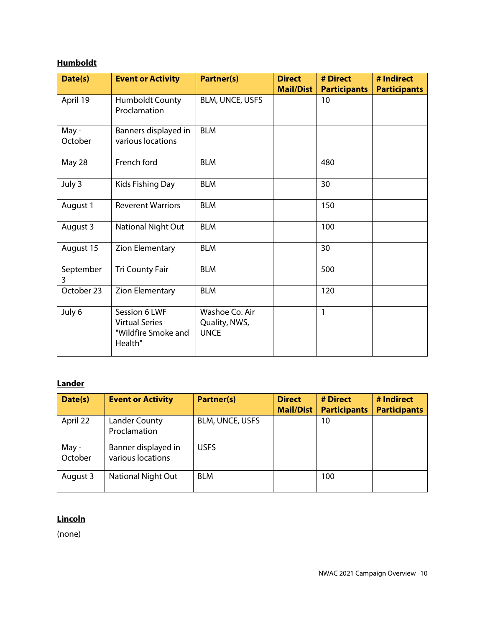# **Humboldt**

| Date(s)         | <b>Event or Activity</b>                                                 | <b>Partner(s)</b>                              | <b>Direct</b><br><b>Mail/Dist</b> | # Direct<br><b>Participants</b> | # Indirect<br><b>Participants</b> |
|-----------------|--------------------------------------------------------------------------|------------------------------------------------|-----------------------------------|---------------------------------|-----------------------------------|
| April 19        | Humboldt County<br>Proclamation                                          | BLM, UNCE, USFS                                |                                   | 10                              |                                   |
| May-<br>October | Banners displayed in<br>various locations                                | <b>BLM</b>                                     |                                   |                                 |                                   |
| May 28          | French ford                                                              | <b>BLM</b>                                     |                                   | 480                             |                                   |
| July 3          | Kids Fishing Day                                                         | <b>BLM</b>                                     |                                   | 30                              |                                   |
| August 1        | <b>Reverent Warriors</b>                                                 | <b>BLM</b>                                     |                                   | 150                             |                                   |
| August 3        | National Night Out                                                       | <b>BLM</b>                                     |                                   | 100                             |                                   |
| August 15       | Zion Elementary                                                          | <b>BLM</b>                                     |                                   | 30                              |                                   |
| September<br>3  | <b>Tri County Fair</b>                                                   | <b>BLM</b>                                     |                                   | 500                             |                                   |
| October 23      | Zion Elementary                                                          | <b>BLM</b>                                     |                                   | 120                             |                                   |
| July 6          | Session 6 LWF<br><b>Virtual Series</b><br>"Wildfire Smoke and<br>Health" | Washoe Co. Air<br>Quality, NWS,<br><b>UNCE</b> |                                   | 1                               |                                   |

### **Lander**

| Date(s)          | <b>Event or Activity</b>                 | <b>Partner(s)</b>      | <b>Direct</b><br><b>Mail/Dist</b> | # Direct<br><b>Participants</b> | # Indirect<br><b>Participants</b> |
|------------------|------------------------------------------|------------------------|-----------------------------------|---------------------------------|-----------------------------------|
| April 22         | Lander County<br>Proclamation            | <b>BLM, UNCE, USFS</b> |                                   | 10                              |                                   |
| May -<br>October | Banner displayed in<br>various locations | <b>USFS</b>            |                                   |                                 |                                   |
| August 3         | <b>National Night Out</b>                | <b>BLM</b>             |                                   | 100                             |                                   |

## **Lincoln**

(none)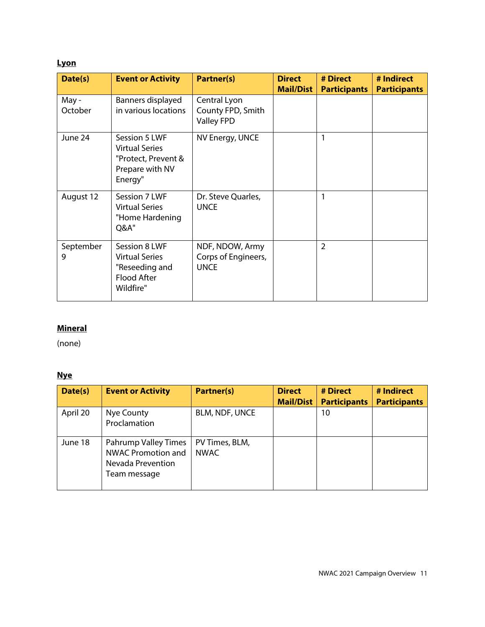### **Lyon**

| Date(s)          | <b>Event or Activity</b>                                                                    | <b>Partner(s)</b>                                      | <b>Direct</b><br><b>Mail/Dist</b> | # Direct<br><b>Participants</b> | # Indirect<br><b>Participants</b> |
|------------------|---------------------------------------------------------------------------------------------|--------------------------------------------------------|-----------------------------------|---------------------------------|-----------------------------------|
| May -<br>October | Banners displayed<br>in various locations                                                   | Central Lyon<br>County FPD, Smith<br><b>Valley FPD</b> |                                   |                                 |                                   |
| June 24          | Session 5 LWF<br><b>Virtual Series</b><br>"Protect, Prevent &<br>Prepare with NV<br>Energy" | NV Energy, UNCE                                        |                                   | 1                               |                                   |
| August 12        | Session 7 LWF<br><b>Virtual Series</b><br>"Home Hardening<br>Q&A"                           | Dr. Steve Quarles,<br><b>UNCE</b>                      |                                   | 1                               |                                   |
| September<br>9   | Session 8 LWF<br><b>Virtual Series</b><br>"Reseeding and<br>Flood After<br>Wildfire"        | NDF, NDOW, Army<br>Corps of Engineers,<br><b>UNCE</b>  |                                   | $\overline{2}$                  |                                   |

# **Mineral**

(none)

### **Nye**

| Date(s)  | <b>Event or Activity</b>                                                        | <b>Partner(s)</b>             | <b>Direct</b><br><b>Mail/Dist</b> | # Direct<br><b>Participants</b> | # Indirect<br><b>Participants</b> |
|----------|---------------------------------------------------------------------------------|-------------------------------|-----------------------------------|---------------------------------|-----------------------------------|
| April 20 | Nye County<br>Proclamation                                                      | <b>BLM, NDF, UNCE</b>         |                                   | 10                              |                                   |
| June 18  | Pahrump Valley Times<br>NWAC Promotion and<br>Nevada Prevention<br>Team message | PV Times, BLM,<br><b>NWAC</b> |                                   |                                 |                                   |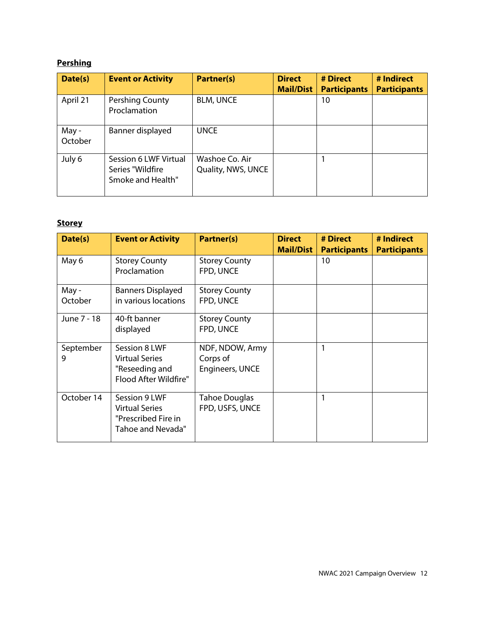# **Pershing**

| Date(s)          | <b>Event or Activity</b>                                       | Partner(s)                           | <b>Direct</b><br><b>Mail/Dist</b> | # Direct<br><b>Participants</b> | # Indirect<br><b>Participants</b> |
|------------------|----------------------------------------------------------------|--------------------------------------|-----------------------------------|---------------------------------|-----------------------------------|
| April 21         | Pershing County<br>Proclamation                                | <b>BLM, UNCE</b>                     |                                   | 10                              |                                   |
| May -<br>October | Banner displayed                                               | <b>UNCE</b>                          |                                   |                                 |                                   |
| July 6           | Session 6 LWF Virtual<br>Series "Wildfire<br>Smoke and Health" | Washoe Co. Air<br>Quality, NWS, UNCE |                                   |                                 |                                   |

# **Storey**

| Date(s)          | <b>Event or Activity</b>                                                           | Partner(s)                                     | <b>Direct</b><br><b>Mail/Dist</b> | # Direct<br><b>Participants</b> | # Indirect<br><b>Participants</b> |
|------------------|------------------------------------------------------------------------------------|------------------------------------------------|-----------------------------------|---------------------------------|-----------------------------------|
| May 6            | <b>Storey County</b><br>Proclamation                                               | <b>Storey County</b><br>FPD, UNCE              |                                   | 10                              |                                   |
| May -<br>October | <b>Banners Displayed</b><br>in various locations                                   | <b>Storey County</b><br>FPD, UNCE              |                                   |                                 |                                   |
| June 7 - 18      | 40-ft banner<br>displayed                                                          | <b>Storey County</b><br>FPD, UNCE              |                                   |                                 |                                   |
| September<br>9   | Session 8 LWF<br><b>Virtual Series</b><br>"Reseeding and<br>Flood After Wildfire"  | NDF, NDOW, Army<br>Corps of<br>Engineers, UNCE |                                   |                                 |                                   |
| October 14       | Session 9 LWF<br><b>Virtual Series</b><br>"Prescribed Fire in<br>Tahoe and Nevada" | Tahoe Douglas<br>FPD, USFS, UNCE               |                                   | 1                               |                                   |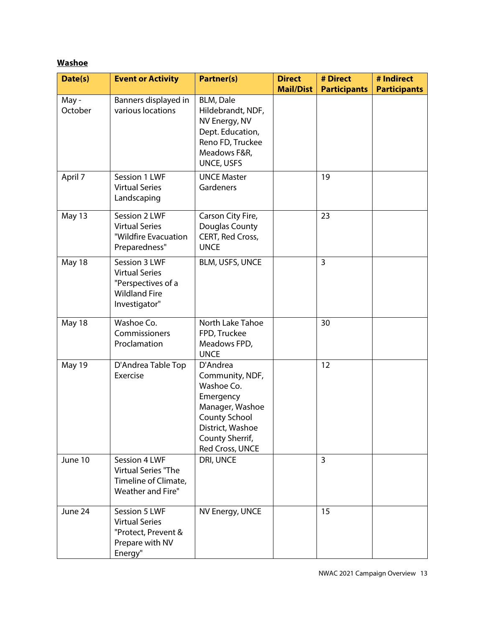# **Washoe**

| Date(s)         | <b>Event or Activity</b>                                                                              | <b>Partner(s)</b>                                                                                                                                           | <b>Direct</b>    | # Direct            | # Indirect          |
|-----------------|-------------------------------------------------------------------------------------------------------|-------------------------------------------------------------------------------------------------------------------------------------------------------------|------------------|---------------------|---------------------|
| May-<br>October | Banners displayed in<br>various locations                                                             | <b>BLM, Dale</b><br>Hildebrandt, NDF,<br>NV Energy, NV<br>Dept. Education,<br>Reno FD, Truckee<br>Meadows F&R,<br>UNCE, USFS                                | <b>Mail/Dist</b> | <b>Participants</b> | <b>Participants</b> |
| April 7         | Session 1 LWF<br><b>Virtual Series</b><br>Landscaping                                                 | <b>UNCE Master</b><br>Gardeners                                                                                                                             |                  | 19                  |                     |
| May 13          | Session 2 LWF<br><b>Virtual Series</b><br>"Wildfire Evacuation<br>Preparedness"                       | Carson City Fire,<br>Douglas County<br>CERT, Red Cross,<br><b>UNCE</b>                                                                                      |                  | 23                  |                     |
| May 18          | Session 3 LWF<br><b>Virtual Series</b><br>"Perspectives of a<br><b>Wildland Fire</b><br>Investigator" | BLM, USFS, UNCE                                                                                                                                             |                  | 3                   |                     |
| May 18          | Washoe Co.<br>Commissioners<br>Proclamation                                                           | North Lake Tahoe<br>FPD, Truckee<br>Meadows FPD,<br><b>UNCE</b>                                                                                             |                  | 30                  |                     |
| May 19          | D'Andrea Table Top<br>Exercise                                                                        | D'Andrea<br>Community, NDF,<br>Washoe Co.<br>Emergency<br>Manager, Washoe<br><b>County School</b><br>District, Washoe<br>County Sherrif,<br>Red Cross, UNCE |                  | 12                  |                     |
| June 10         | Session 4 LWF<br>Virtual Series "The<br>Timeline of Climate,<br>Weather and Fire"                     | DRI, UNCE                                                                                                                                                   |                  | $\overline{3}$      |                     |
| June 24         | Session 5 LWF<br><b>Virtual Series</b><br>"Protect, Prevent &<br>Prepare with NV<br>Energy"           | NV Energy, UNCE                                                                                                                                             |                  | 15                  |                     |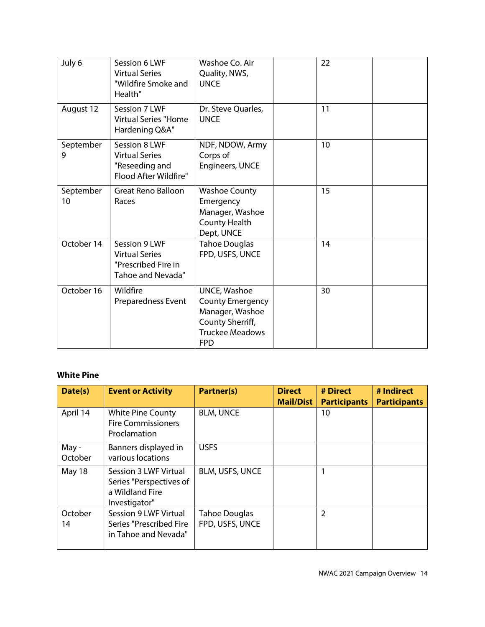| July 6          | Session 6 LWF<br><b>Virtual Series</b><br>"Wildfire Smoke and<br>Health"           | Washoe Co. Air<br>Quality, NWS,<br><b>UNCE</b>                                                                                | 22 |  |
|-----------------|------------------------------------------------------------------------------------|-------------------------------------------------------------------------------------------------------------------------------|----|--|
| August 12       | Session 7 LWF<br><b>Virtual Series "Home</b><br>Hardening Q&A"                     | Dr. Steve Quarles,<br><b>UNCE</b>                                                                                             | 11 |  |
| September<br>9  | Session 8 LWF<br><b>Virtual Series</b><br>"Reseeding and<br>Flood After Wildfire"  | NDF, NDOW, Army<br>Corps of<br>Engineers, UNCE                                                                                | 10 |  |
| September<br>10 | <b>Great Reno Balloon</b><br>Races                                                 | <b>Washoe County</b><br>Emergency<br>Manager, Washoe<br><b>County Health</b><br>Dept, UNCE                                    | 15 |  |
| October 14      | Session 9 LWF<br><b>Virtual Series</b><br>"Prescribed Fire in<br>Tahoe and Nevada" | <b>Tahoe Douglas</b><br>FPD, USFS, UNCE                                                                                       | 14 |  |
| October 16      | Wildfire<br><b>Preparedness Event</b>                                              | <b>UNCE, Washoe</b><br><b>County Emergency</b><br>Manager, Washoe<br>County Sherriff,<br><b>Truckee Meadows</b><br><b>FPD</b> | 30 |  |

### **White Pine**

| Date(s)          | <b>Event or Activity</b>                                                             | <b>Partner(s)</b>                       | <b>Direct</b><br><b>Mail/Dist</b> | # Direct<br><b>Participants</b> | # Indirect<br><b>Participants</b> |
|------------------|--------------------------------------------------------------------------------------|-----------------------------------------|-----------------------------------|---------------------------------|-----------------------------------|
| April 14         | <b>White Pine County</b><br><b>Fire Commissioners</b><br>Proclamation                | <b>BLM, UNCE</b>                        |                                   | 10                              |                                   |
| May -<br>October | Banners displayed in<br>various locations                                            | <b>USFS</b>                             |                                   |                                 |                                   |
| May 18           | Session 3 LWF Virtual<br>Series "Perspectives of<br>a Wildland Fire<br>Investigator" | BLM, USFS, UNCE                         |                                   |                                 |                                   |
| October<br>14    | Session 9 LWF Virtual<br>Series "Prescribed Fire<br>in Tahoe and Nevada"             | <b>Tahoe Douglas</b><br>FPD, USFS, UNCE |                                   | $\overline{2}$                  |                                   |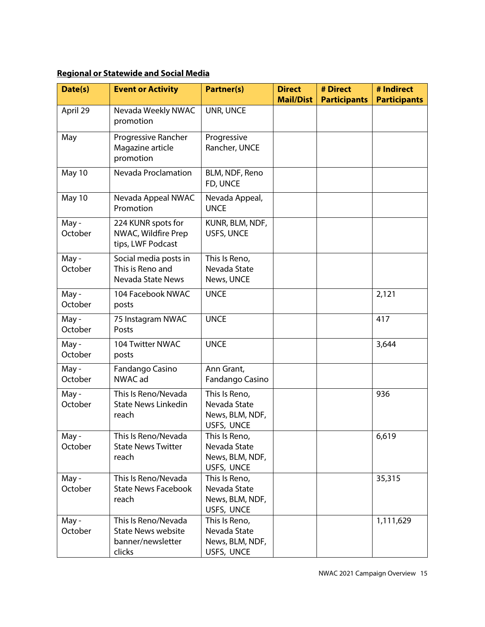# **Regional or Statewide and Social Media**

| Date(s)          | <b>Event or Activity</b>                                                        | <b>Partner(s)</b>                                              | <b>Direct</b><br><b>Mail/Dist</b> | # Direct<br><b>Participants</b> | # Indirect<br><b>Participants</b> |
|------------------|---------------------------------------------------------------------------------|----------------------------------------------------------------|-----------------------------------|---------------------------------|-----------------------------------|
| April 29         | Nevada Weekly NWAC<br>promotion                                                 | UNR, UNCE                                                      |                                   |                                 |                                   |
| May              | Progressive Rancher<br>Magazine article<br>promotion                            | Progressive<br>Rancher, UNCE                                   |                                   |                                 |                                   |
| May 10           | Nevada Proclamation                                                             | BLM, NDF, Reno<br>FD, UNCE                                     |                                   |                                 |                                   |
| May 10           | Nevada Appeal NWAC<br>Promotion                                                 | Nevada Appeal,<br><b>UNCE</b>                                  |                                   |                                 |                                   |
| May -<br>October | 224 KUNR spots for<br>NWAC, Wildfire Prep<br>tips, LWF Podcast                  | KUNR, BLM, NDF,<br>USFS, UNCE                                  |                                   |                                 |                                   |
| May -<br>October | Social media posts in<br>This is Reno and<br>Nevada State News                  | This Is Reno,<br>Nevada State<br>News, UNCE                    |                                   |                                 |                                   |
| May-<br>October  | 104 Facebook NWAC<br>posts                                                      | <b>UNCE</b>                                                    |                                   |                                 | 2,121                             |
| May-<br>October  | 75 Instagram NWAC<br>Posts                                                      | <b>UNCE</b>                                                    |                                   |                                 | 417                               |
| May-<br>October  | 104 Twitter NWAC<br>posts                                                       | <b>UNCE</b>                                                    |                                   |                                 | 3,644                             |
| May-<br>October  | Fandango Casino<br>NWAC ad                                                      | Ann Grant,<br>Fandango Casino                                  |                                   |                                 |                                   |
| May-<br>October  | This Is Reno/Nevada<br><b>State News Linkedin</b><br>reach                      | This Is Reno,<br>Nevada State<br>News, BLM, NDF,<br>USFS, UNCE |                                   |                                 | 936                               |
| May -<br>October | This Is Reno/Nevada<br><b>State News Twitter</b><br>reach                       | This Is Reno,<br>Nevada State<br>News, BLM, NDF,<br>USFS, UNCE |                                   |                                 | 6,619                             |
| May -<br>October | This Is Reno/Nevada<br><b>State News Facebook</b><br>reach                      | This Is Reno,<br>Nevada State<br>News, BLM, NDF,<br>USFS, UNCE |                                   |                                 | 35,315                            |
| May-<br>October  | This Is Reno/Nevada<br><b>State News website</b><br>banner/newsletter<br>clicks | This Is Reno,<br>Nevada State<br>News, BLM, NDF,<br>USFS, UNCE |                                   |                                 | 1,111,629                         |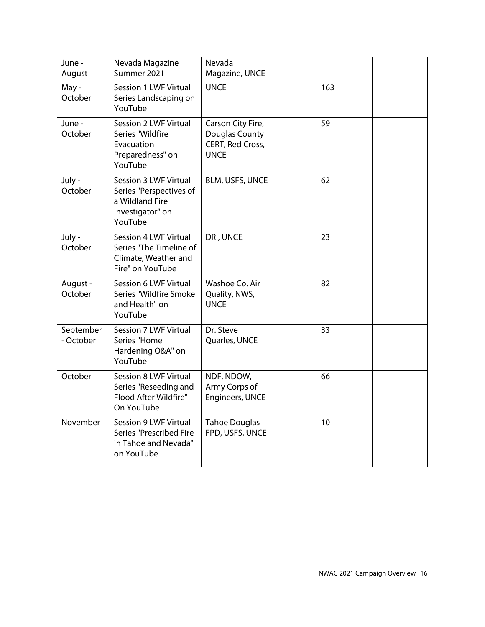| June -<br>August       | Nevada Magazine<br>Summer 2021                                                                            | Nevada<br>Magazine, UNCE                                               |     |  |
|------------------------|-----------------------------------------------------------------------------------------------------------|------------------------------------------------------------------------|-----|--|
| May -<br>October       | Session 1 LWF Virtual<br>Series Landscaping on<br>YouTube                                                 | <b>UNCE</b>                                                            | 163 |  |
| June -<br>October      | <b>Session 2 LWF Virtual</b><br>Series "Wildfire<br>Evacuation<br>Preparedness" on<br>YouTube             | Carson City Fire,<br>Douglas County<br>CERT, Red Cross,<br><b>UNCE</b> | 59  |  |
| July -<br>October      | <b>Session 3 LWF Virtual</b><br>Series "Perspectives of<br>a Wildland Fire<br>Investigator" on<br>YouTube | <b>BLM, USFS, UNCE</b>                                                 | 62  |  |
| July -<br>October      | <b>Session 4 LWF Virtual</b><br>Series "The Timeline of<br>Climate, Weather and<br>Fire" on YouTube       | DRI, UNCE                                                              | 23  |  |
| August -<br>October    | Session 6 LWF Virtual<br>Series "Wildfire Smoke<br>and Health" on<br>YouTube                              | Washoe Co. Air<br>Quality, NWS,<br><b>UNCE</b>                         | 82  |  |
| September<br>- October | Session 7 LWF Virtual<br>Series "Home<br>Hardening Q&A" on<br>YouTube                                     | Dr. Steve<br>Quarles, UNCE                                             | 33  |  |
| October                | <b>Session 8 LWF Virtual</b><br>Series "Reseeding and<br>Flood After Wildfire"<br>On YouTube              | NDF, NDOW,<br>Army Corps of<br>Engineers, UNCE                         | 66  |  |
| November               | Session 9 LWF Virtual<br>Series "Prescribed Fire<br>in Tahoe and Nevada"<br>on YouTube                    | <b>Tahoe Douglas</b><br>FPD, USFS, UNCE                                | 10  |  |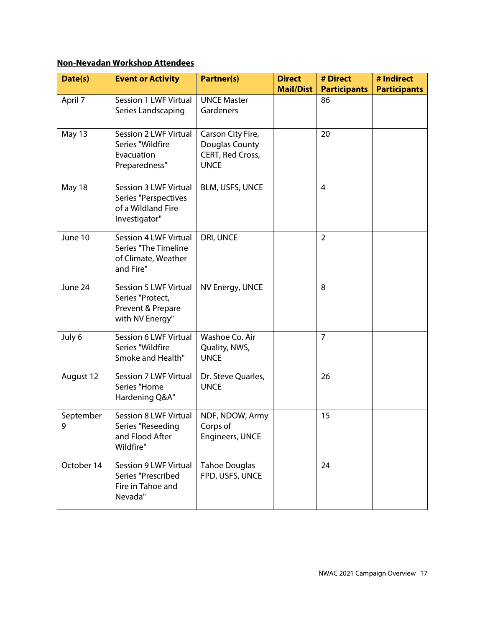# **Non-Nevadan Workshop Attendees**

| Date(s)        | <b>Event or Activity</b>                                                                 | <b>Partner(s)</b>                                                      | <b>Direct</b>    | # Direct            | # Indirect          |
|----------------|------------------------------------------------------------------------------------------|------------------------------------------------------------------------|------------------|---------------------|---------------------|
|                |                                                                                          |                                                                        | <b>Mail/Dist</b> | <b>Participants</b> | <b>Participants</b> |
| April 7        | Session 1 LWF Virtual<br>Series Landscaping                                              | <b>UNCE Master</b><br>Gardeners                                        |                  | 86                  |                     |
| May 13         | Session 2 LWF Virtual<br>Series "Wildfire<br>Evacuation<br>Preparedness"                 | Carson City Fire,<br>Douglas County<br>CERT, Red Cross,<br><b>UNCE</b> |                  | 20                  |                     |
| May 18         | Session 3 LWF Virtual<br>Series "Perspectives<br>of a Wildland Fire<br>Investigator"     | BLM, USFS, UNCE                                                        |                  | $\overline{4}$      |                     |
| June 10        | Session 4 LWF Virtual<br><b>Series "The Timeline</b><br>of Climate, Weather<br>and Fire" | DRI, UNCE                                                              |                  | $\overline{2}$      |                     |
| June 24        | Session 5 LWF Virtual<br>Series "Protect,<br>Prevent & Prepare<br>with NV Energy"        | NV Energy, UNCE                                                        |                  | 8                   |                     |
| July 6         | Session 6 LWF Virtual<br>Series "Wildfire<br>Smoke and Health"                           | Washoe Co. Air<br>Quality, NWS,<br><b>UNCE</b>                         |                  | $\overline{7}$      |                     |
| August 12      | Session 7 LWF Virtual<br>Series "Home<br>Hardening Q&A"                                  | Dr. Steve Quarles,<br><b>UNCE</b>                                      |                  | 26                  |                     |
| September<br>9 | <b>Session 8 LWF Virtual</b><br>Series "Reseeding<br>and Flood After<br>Wildfire"        | NDF, NDOW, Army<br>Corps of<br>Engineers, UNCE                         |                  | 15                  |                     |
| October 14     | Session 9 LWF Virtual<br>Series "Prescribed<br>Fire in Tahoe and<br>Nevada"              | <b>Tahoe Douglas</b><br>FPD, USFS, UNCE                                |                  | 24                  |                     |